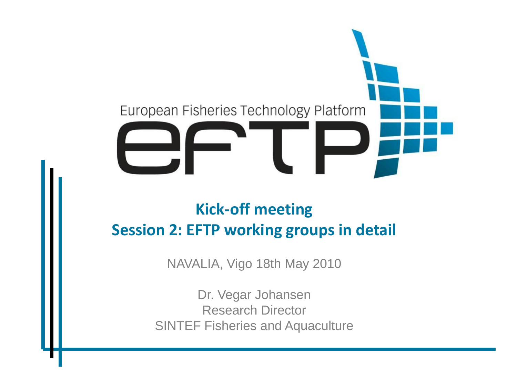

### **Kick-off meeting Session 2: EFTP working groups in detail**

NAVALIA, Vigo 18th May 2010

Dr. Vegar Johansen Research Director SINTEF Fisheries and Aquaculture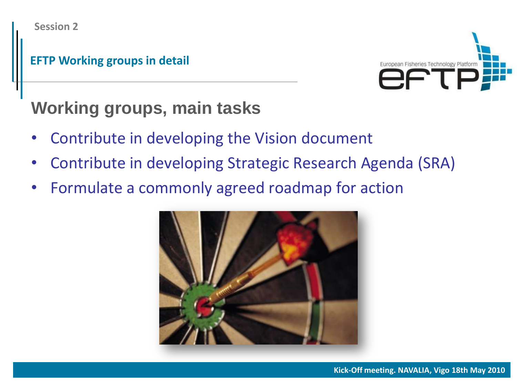#### **EFTP Working groups in detail**



# **Working groups, main tasks**

- Contribute in developing the Vision document
- Contribute in developing Strategic Research Agenda (SRA)
- Formulate a commonly agreed roadmap for action

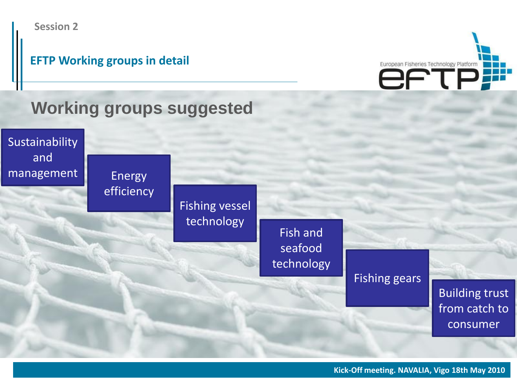



### **Working groups suggested**

Sustainability and management Energy

efficiency

Fishing vessel technology

Fish and seafood technology

Fishing gears

Building trust from catch to consumer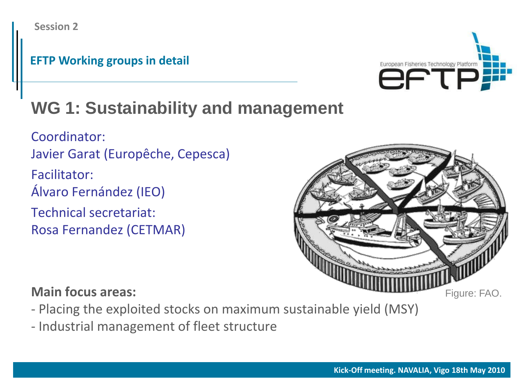#### **EFTP Working groups in detail**



# **WG 1: Sustainability and management**

Coordinator: Javier Garat (Europêche, Cepesca) Facilitator: Álvaro Fernández (IEO) Technical secretariat: Rosa Fernandez (CETMAR)



- Placing the exploited stocks on maximum sustainable yield (MSY)
- Industrial management of fleet structure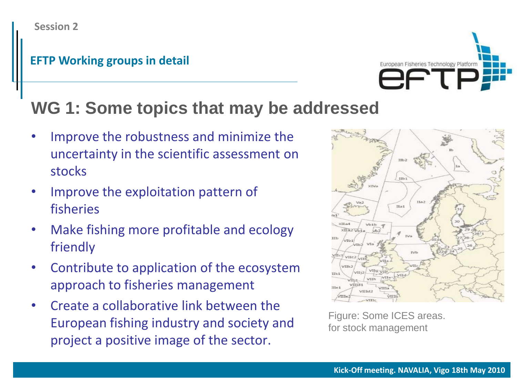

# **WG 1: Some topics that may be addressed**

- Improve the robustness and minimize the uncertainty in the scientific assessment on stocks
- Improve the exploitation pattern of fisheries
- Make fishing more profitable and ecology friendly
- Contribute to application of the ecosystem approach to fisheries management
- Create a collaborative link between the European fishing industry and society and project a positive image of the sector.



Figure: Some ICES areas. for stock management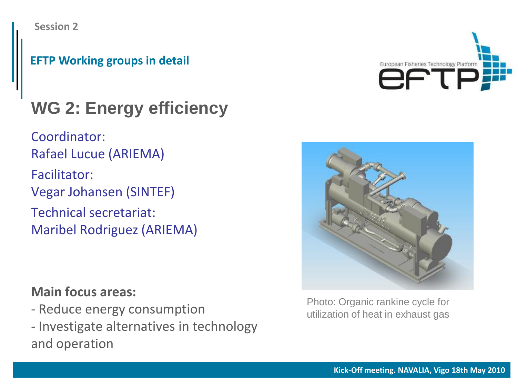#### **EFTP Working groups in detail**

# **WG 2: Energy efficiency**

Coordinator: Rafael Lucue (ARIEMA) Facilitator: Vegar Johansen (SINTEF) Technical secretariat: Maribel Rodriguez (ARIEMA)

- Reduce energy consumption
- Investigate alternatives in technology and operation





Photo: Organic rankine cycle for utilization of heat in exhaust gas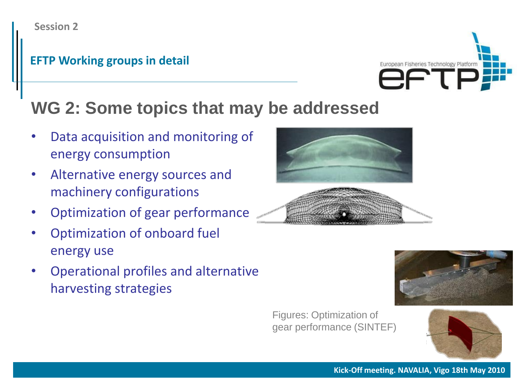

### **WG 2: Some topics that may be addressed**

- Data acquisition and monitoring of energy consumption
- Alternative energy sources and machinery configurations
- Optimization of gear performance
- Optimization of onboard fuel energy use
- Operational profiles and alternative harvesting strategies







Figures: Optimization of gear performance (SINTEF)



**Kick-Off meeting. NAVALIA, Vigo 18th May 2010**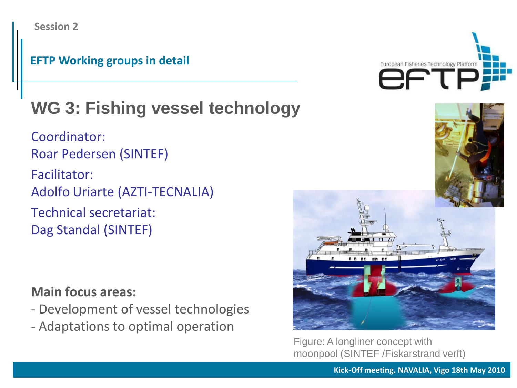#### **EFTP Working groups in detail**

# **WG 3: Fishing vessel technology**

Coordinator: Roar Pedersen (SINTEF) Facilitator: Adolfo Uriarte (AZTI-TECNALIA) Technical secretariat: Dag Standal (SINTEF)

#### **Main focus areas:**

- Development of vessel technologies
- Adaptations to optimal operation





Figure: A longliner concept with moonpool (SINTEF /Fiskarstrand verft)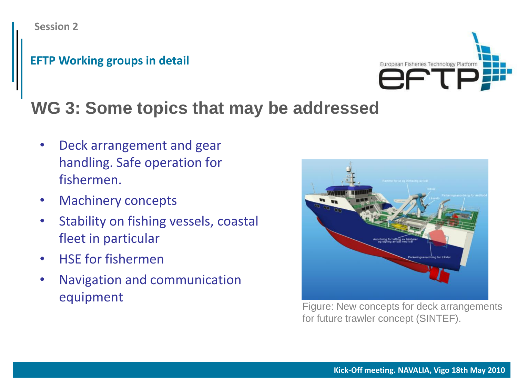#### **EFTP Working groups in detail**



## **WG 3: Some topics that may be addressed**

- Deck arrangement and gear handling. Safe operation for fishermen.
- Machinery concepts
- Stability on fishing vessels, coastal fleet in particular
- HSE for fishermen
- Navigation and communication equipment



Figure: New concepts for deck arrangements for future trawler concept (SINTEF).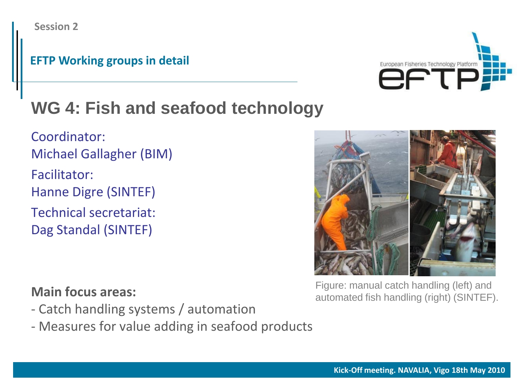#### **EFTP Working groups in detail**



# **WG 4: Fish and seafood technology**

Coordinator: Michael Gallagher (BIM) Facilitator: Hanne Digre (SINTEF) Technical secretariat: Dag Standal (SINTEF)



#### Figure: manual catch handling (left) and automated fish handling (right) (SINTEF).

- Catch handling systems / automation
- Measures for value adding in seafood products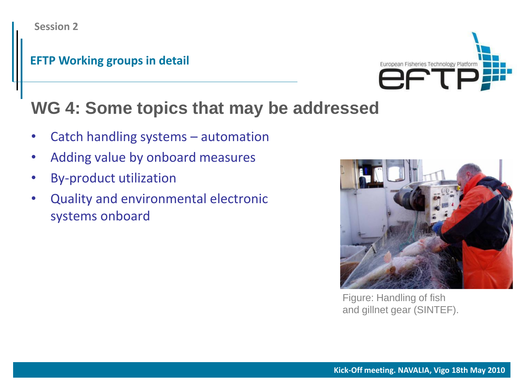#### **EFTP Working groups in detail**



### **WG 4: Some topics that may be addressed**

- Catch handling systems automation
- Adding value by onboard measures
- By-product utilization
- Quality and environmental electronic systems onboard



Figure: Handling of fish and gillnet gear (SINTEF).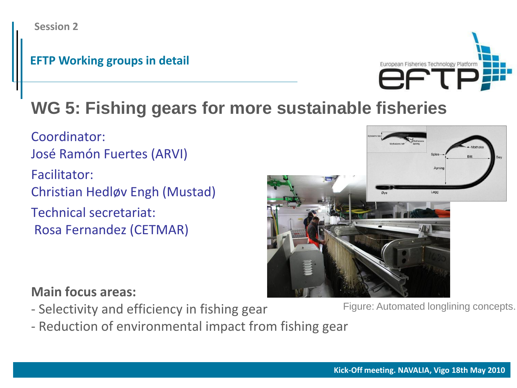

# **WG 5: Fishing gears for more sustainable fisheries**

Coordinator: José Ramón Fuertes (ARVI) Facilitator:

Christian Hedløv Engh (Mustad)

Technical secretariat: Rosa Fernandez (CETMAR)



- Selectivity and efficiency in fishing gear
- Reduction of environmental impact from fishing gear

Figure: Automated longlining concepts.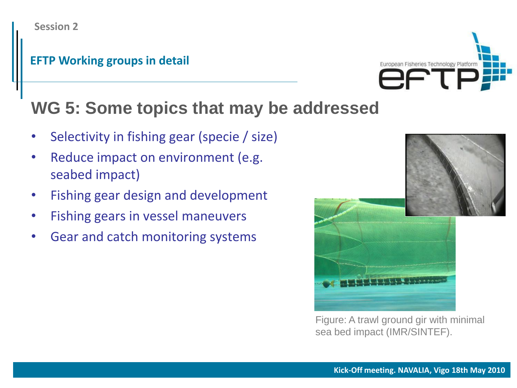

### **WG 5: Some topics that may be addressed**

- Selectivity in fishing gear (specie / size)
- Reduce impact on environment (e.g. seabed impact)
- Fishing gear design and development
- Fishing gears in vessel maneuvers
- Gear and catch monitoring systems





Figure: A trawl ground gir with minimal sea bed impact (IMR/SINTEF).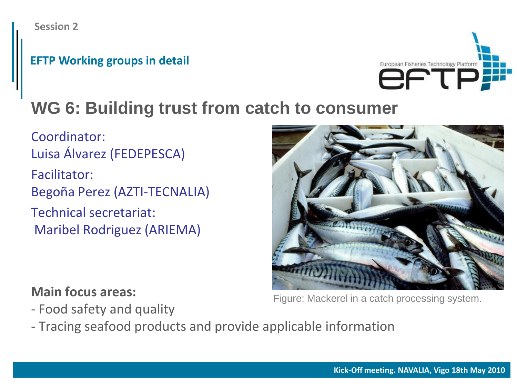#### **EFTP Working groups in detail**



# **WG 6: Building trust from catch to consumer**

Coordinator: Luisa Álvarez (FEDEPESCA) Facilitator: Begoña Perez (AZTI-TECNALIA) Technical secretariat:

Maribel Rodriguez (ARIEMA)



**Main focus areas:**

- Food safety and quality

- Tracing seafood products and provide applicable information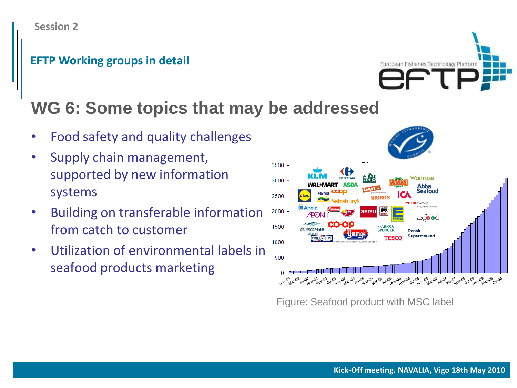European Fisheries Technology Platform

### **WG 6: Some topics that may be addressed**

- Food safety and quality challenges
- Supply chain management, supported by new information systems
- Building on transferable information from catch to customer
- Utilization of environmental labels in seafood products marketing



Figure: Seafood product with MSC label